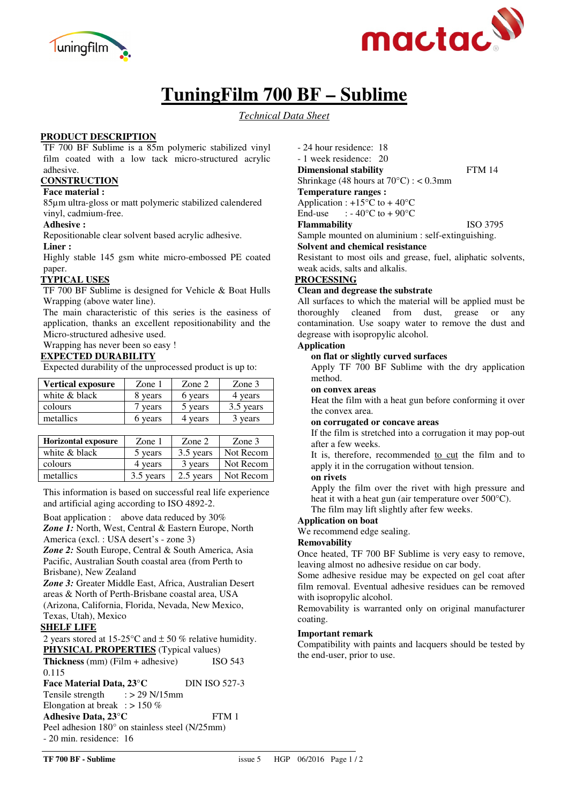



# **TuningFilm 700 BF – Sublime**

*Technical Data Sheet*

# **PRODUCT DESCRIPTION**

TF 700 BF Sublime is a 85m polymeric stabilized vinyl film coated with a low tack micro-structured acrylic adhesive.

# **CONSTRUCTION**

**Face material :** 

85µm ultra-gloss or matt polymeric stabilized calendered vinyl, cadmium-free.

#### **Adhesive :**

Repositionable clear solvent based acrylic adhesive.

#### **Liner :**

Highly stable 145 gsm white micro-embossed PE coated paper.

## **TYPICAL USES**

TF 700 BF Sublime is designed for Vehicle & Boat Hulls Wrapping (above water line).

The main characteristic of this series is the easiness of application, thanks an excellent repositionability and the Micro-structured adhesive used.

Wrapping has never been so easy !

## **EXPECTED DURABILITY**

Expected durability of the unprocessed product is up to:

| <b>Vertical exposure</b> | Zone 1  | Zone 2  | Zone 3    |
|--------------------------|---------|---------|-----------|
| white & black            | 8 years | 6 years | 4 years   |
| colours                  | years   | 5 years | 3.5 years |
| metallics                | vears   | vears   | years     |

| <b>Horizontal exposure</b> | Zone $1$  | Zone 2    | Zone 3    |
|----------------------------|-----------|-----------|-----------|
| white & black              | 5 years   | 3.5 years | Not Recom |
| colours                    | 4 years   | 3 years   | Not Recom |
| metallics                  | 3.5 years | 2.5 years | Not Recom |

This information is based on successful real life experience and artificial aging according to ISO 4892-2.

Boat application : above data reduced by 30%

*Zone 1:* North, West, Central & Eastern Europe, North America (excl. : USA desert's - zone 3)

*Zone 2:* South Europe, Central & South America, Asia Pacific, Australian South coastal area (from Perth to Brisbane), New Zealand

*Zone 3:* Greater Middle East, Africa, Australian Desert areas & North of Perth-Brisbane coastal area, USA (Arizona, California, Florida, Nevada, New Mexico, Texas, Utah), Mexico

# **SHELF LIFE**

2 years stored at 15-25 °C and  $\pm$  50 % relative humidity. **PHYSICAL PROPERTIES** (Typical values)

**Thickness** (mm) (Film + adhesive) ISO 543 0.115 Face Material Data, 23°C DIN ISO 527-3 Tensile strength  $\therefore$  > 29 N/15mm Elongation at break :  $> 150\%$ **Adhesive Data, 23°C** FTM 1 Peel adhesion 180° on stainless steel (N/25mm) - 20 min. residence: 16

- 24 hour residence: 18 - 1 week residence: 20
- **Dimensional stability** FTM 14

Shrinkage (48 hours at 70°C) : < 0.3mm

**Temperature ranges :** 

Application :  $+15^{\circ}$ C to  $+40^{\circ}$ C End-use  $\therefore$  - 40°C to + 90°C

**Flammability** ISO 3795

Sample mounted on aluminium : self-extinguishing.

**Solvent and chemical resistance** 

Resistant to most oils and grease, fuel, aliphatic solvents, weak acids, salts and alkalis.

# **PROCESSING**

#### **Clean and degrease the substrate**

All surfaces to which the material will be applied must be thoroughly cleaned from dust, grease or any contamination. Use soapy water to remove the dust and degrease with isopropylic alcohol.

#### **Application**

#### **on flat or slightly curved surfaces**

Apply TF 700 BF Sublime with the dry application method.

## **on convex areas**

Heat the film with a heat gun before conforming it over the convex area.

## **on corrugated or concave areas**

If the film is stretched into a corrugation it may pop-out after a few weeks.

It is, therefore, recommended to cut the film and to apply it in the corrugation without tension.

# **on rivets**

Apply the film over the rivet with high pressure and heat it with a heat gun (air temperature over 500°C). The film may lift slightly after few weeks.

**Application on boat** 

# We recommend edge sealing.

# **Removability**

Once heated, TF 700 BF Sublime is very easy to remove, leaving almost no adhesive residue on car body.

Some adhesive residue may be expected on gel coat after film removal. Eventual adhesive residues can be removed with isopropylic alcohol.

Removability is warranted only on original manufacturer coating.

#### **Important remark**

Compatibility with paints and lacquers should be tested by the end-user, prior to use.